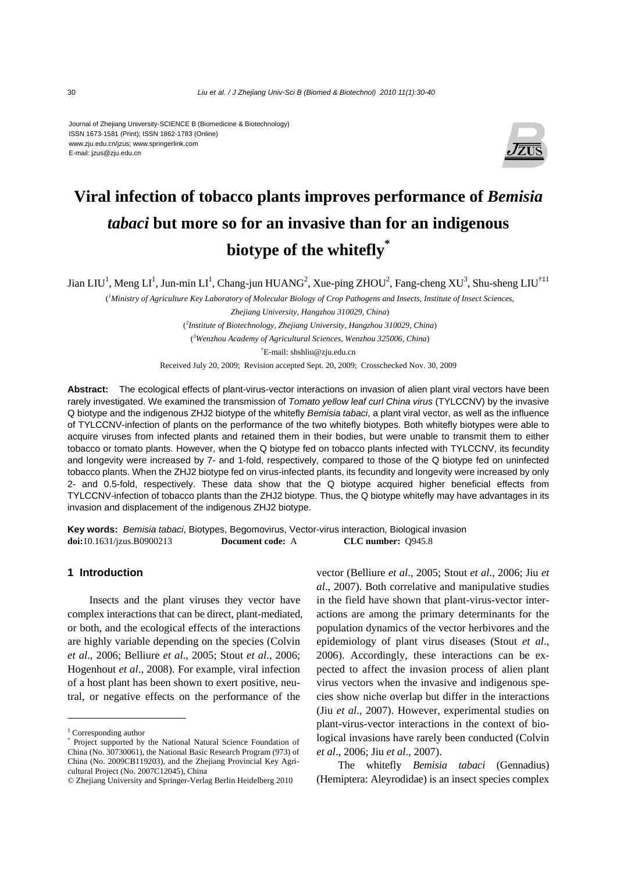#### Journal of Zhejiang University-SCIENCE B (Biomedicine & Biotechnology) ISSN 1673-1581 (Print); ISSN 1862-1783 (Online) www.zju.edu.cn/jzus; www.springerlink.com E-mail: jzus@zju.edu.cn



# **Viral infection of tobacco plants improves performance of** *Bemisia tabaci* **but more so for an invasive than for an indigenous biotype of the whitefly\***

Jian LIU<sup>1</sup>, Meng LI<sup>1</sup>, Jun-min LI<sup>1</sup>, Chang-jun HUANG<sup>2</sup>, Xue-ping ZHOU<sup>2</sup>, Fang-cheng XU<sup>3</sup>, Shu-sheng LIU<sup>†‡1</sup>

( *1 Ministry of Agriculture Key Laboratory of Molecular Biology of Crop Pathogens and Insects, Institute of Insect Sciences,* 

*Zhejiang University, Hangzhou 310029, China*) ( *2 Institute of Biotechnology, Zhejiang University, Hangzhou 310029, China*) ( *3 Wenzhou Academy of Agricultural Sciences, Wenzhou 325006, China*) † E-mail: shshliu@zju.edu.cn Received July 20, 2009; Revision accepted Sept. 20, 2009; Crosschecked Nov. 30, 2009

**Abstract:** The ecological effects of plant-virus-vector interactions on invasion of alien plant viral vectors have been rarely investigated. We examined the transmission of *Tomato yellow leaf curl China virus* (TYLCCNV) by the invasive Q biotype and the indigenous ZHJ2 biotype of the whitefly *Bemisia tabaci*, a plant viral vector, as well as the influence of TYLCCNV-infection of plants on the performance of the two whitefly biotypes. Both whitefly biotypes were able to acquire viruses from infected plants and retained them in their bodies, but were unable to transmit them to either tobacco or tomato plants. However, when the Q biotype fed on tobacco plants infected with TYLCCNV, its fecundity and longevity were increased by 7- and 1-fold, respectively, compared to those of the Q biotype fed on uninfected tobacco plants. When the ZHJ2 biotype fed on virus-infected plants, its fecundity and longevity were increased by only 2- and 0.5-fold, respectively. These data show that the Q biotype acquired higher beneficial effects from TYLCCNV-infection of tobacco plants than the ZHJ2 biotype. Thus, the Q biotype whitefly may have advantages in its invasion and displacement of the indigenous ZHJ2 biotype.

**Key words:** *Bemisia tabaci*, Biotypes, Begomovirus, Vector-virus interaction, Biological invasion **doi:**10.1631/jzus.B0900213 **Document code:** A **CLC number:** Q945.8

#### **1 Introduction**

Insects and the plant viruses they vector have complex interactions that can be direct, plant-mediated, or both, and the ecological effects of the interactions are highly variable depending on the species (Colvin *et al*., 2006; Belliure *et al*., 2005; Stout *et al*., 2006; Hogenhout *et al*., 2008). For example, viral infection of a host plant has been shown to exert positive, neutral, or negative effects on the performance of the

vector (Belliure *et al*., 2005; Stout *et al*., 2006; Jiu *et al*., 2007). Both correlative and manipulative studies in the field have shown that plant-virus-vector interactions are among the primary determinants for the population dynamics of the vector herbivores and the epidemiology of plant virus diseases (Stout *et al*., 2006). Accordingly, these interactions can be expected to affect the invasion process of alien plant virus vectors when the invasive and indigenous species show niche overlap but differ in the interactions (Jiu *et al*., 2007). However, experimental studies on plant-virus-vector interactions in the context of biological invasions have rarely been conducted (Colvin *et al*., 2006; Jiu *et al*., 2007).

The whitefly *Bemisia tabaci* (Gennadius) (Hemiptera: Aleyrodidae) is an insect species complex

<sup>‡</sup> Corresponding author

<sup>\*</sup> Project supported by the National Natural Science Foundation of China (No. 30730061), the National Basic Research Program (973) of China (No. 2009CB119203), and the Zhejiang Provincial Key Agricultural Project (No. 2007C12045), China

<sup>©</sup> Zhejiang University and Springer-Verlag Berlin Heidelberg 2010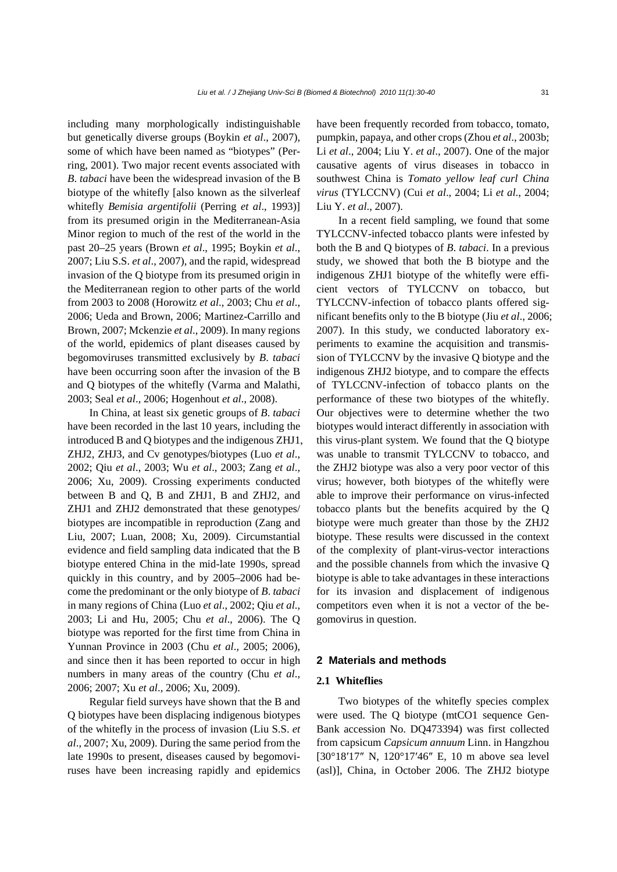including many morphologically indistinguishable but genetically diverse groups (Boykin *et al*., 2007), some of which have been named as "biotypes" (Perring, 2001). Two major recent events associated with *B*. *tabaci* have been the widespread invasion of the B biotype of the whitefly [also known as the silverleaf whitefly *Bemisia argentifolii* (Perring *et al*., 1993)] from its presumed origin in the Mediterranean-Asia Minor region to much of the rest of the world in the past 20–25 years (Brown *et al*., 1995; Boykin *et al*., 2007; Liu S.S. *et al*., 2007), and the rapid, widespread invasion of the Q biotype from its presumed origin in the Mediterranean region to other parts of the world from 2003 to 2008 (Horowitz *et al*., 2003; Chu *et al*., 2006; Ueda and Brown, 2006; Martinez-Carrillo and Brown, 2007; Mckenzie *et al*., 2009). In many regions of the world, epidemics of plant diseases caused by begomoviruses transmitted exclusively by *B*. *tabaci* have been occurring soon after the invasion of the B and Q biotypes of the whitefly (Varma and Malathi, 2003; Seal *et al*., 2006; Hogenhout *et al*., 2008).

In China, at least six genetic groups of *B*. *tabaci* have been recorded in the last 10 years, including the introduced B and Q biotypes and the indigenous ZHJ1, ZHJ2, ZHJ3, and Cv genotypes/biotypes (Luo *et al*., 2002; Qiu *et al*., 2003; Wu *et al*., 2003; Zang *et al*., 2006; Xu, 2009). Crossing experiments conducted between B and Q, B and ZHJ1, B and ZHJ2, and ZHJ1 and ZHJ2 demonstrated that these genotypes/ biotypes are incompatible in reproduction (Zang and Liu, 2007; Luan, 2008; Xu, 2009). Circumstantial evidence and field sampling data indicated that the B biotype entered China in the mid-late 1990s, spread quickly in this country, and by 2005–2006 had become the predominant or the only biotype of *B*. *tabaci*  in many regions of China (Luo *et al*., 2002; Qiu *et al*., 2003; Li and Hu, 2005; Chu *et al*., 2006). The Q biotype was reported for the first time from China in Yunnan Province in 2003 (Chu *et al*., 2005; 2006), and since then it has been reported to occur in high numbers in many areas of the country (Chu *et al*., 2006; 2007; Xu *et al*., 2006; Xu, 2009).

Regular field surveys have shown that the B and Q biotypes have been displacing indigenous biotypes of the whitefly in the process of invasion (Liu S.S. *et al*., 2007; Xu, 2009). During the same period from the late 1990s to present, diseases caused by begomoviruses have been increasing rapidly and epidemics

have been frequently recorded from tobacco, tomato, pumpkin, papaya, and other crops (Zhou *et al*., 2003b; Li *et al*., 2004; Liu Y. *et al*., 2007). One of the major causative agents of virus diseases in tobacco in southwest China is *Tomato yellow leaf curl China virus* (TYLCCNV) (Cui *et al*., 2004; Li *et al*., 2004; Liu Y. *et al*., 2007).

In a recent field sampling, we found that some TYLCCNV-infected tobacco plants were infested by both the B and Q biotypes of *B*. *tabaci*. In a previous study, we showed that both the B biotype and the indigenous ZHJ1 biotype of the whitefly were efficient vectors of TYLCCNV on tobacco, but TYLCCNV-infection of tobacco plants offered significant benefits only to the B biotype (Jiu *et al*., 2006; 2007). In this study, we conducted laboratory experiments to examine the acquisition and transmission of TYLCCNV by the invasive Q biotype and the indigenous ZHJ2 biotype, and to compare the effects of TYLCCNV-infection of tobacco plants on the performance of these two biotypes of the whitefly. Our objectives were to determine whether the two biotypes would interact differently in association with this virus-plant system. We found that the Q biotype was unable to transmit TYLCCNV to tobacco, and the ZHJ2 biotype was also a very poor vector of this virus; however, both biotypes of the whitefly were able to improve their performance on virus-infected tobacco plants but the benefits acquired by the Q biotype were much greater than those by the ZHJ2 biotype. These results were discussed in the context of the complexity of plant-virus-vector interactions and the possible channels from which the invasive Q biotype is able to take advantages in these interactions for its invasion and displacement of indigenous competitors even when it is not a vector of the begomovirus in question.

#### **2 Materials and methods**

#### **2.1 Whiteflies**

Two biotypes of the whitefly species complex were used. The Q biotype (mtCO1 sequence Gen-Bank accession No. DQ473394) was first collected from capsicum *Capsicum annuum* Linn. in Hangzhou [30°18′17″ N, 120°17′46″ E, 10 m above sea level (asl)], China, in October 2006. The ZHJ2 biotype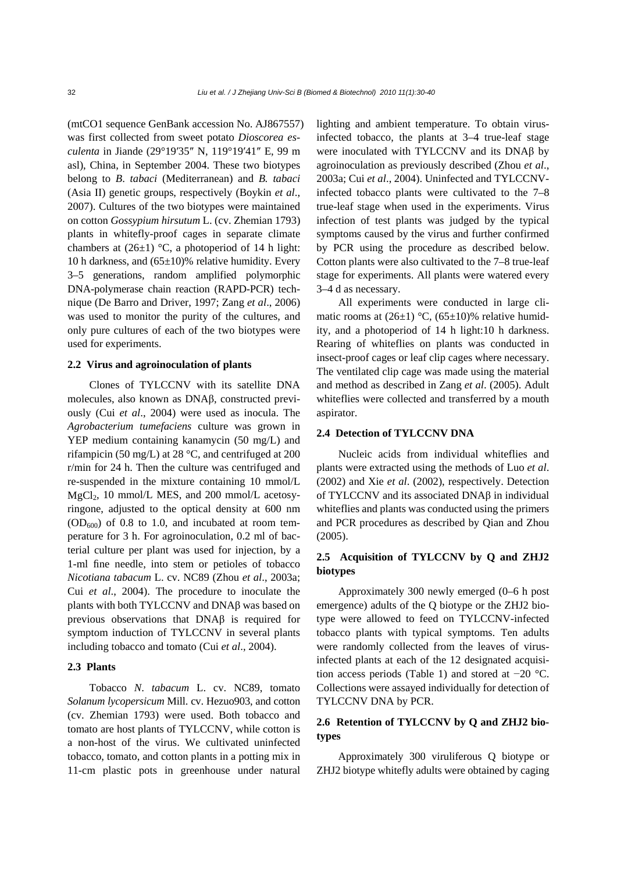(mtCO1 sequence GenBank accession No. AJ867557) was first collected from sweet potato *Dioscorea esculenta* in Jiande (29°19′35″ N, 119°19′41″ E, 99 m asl), China, in September 2004. These two biotypes belong to *B*. *tabaci* (Mediterranean) and *B. tabaci*  (Asia II) genetic groups, respectively (Boykin *et al*., 2007). Cultures of the two biotypes were maintained on cotton *Gossypium hirsutum* L. (cv. Zhemian 1793) plants in whitefly-proof cages in separate climate chambers at  $(26\pm1)$  °C, a photoperiod of 14 h light: 10 h darkness, and  $(65±10)\%$  relative humidity. Every 3–5 generations, random amplified polymorphic DNA-polymerase chain reaction (RAPD-PCR) technique (De Barro and Driver, 1997; Zang *et al*., 2006) was used to monitor the purity of the cultures, and only pure cultures of each of the two biotypes were used for experiments.

#### **2.2 Virus and agroinoculation of plants**

Clones of TYLCCNV with its satellite DNA molecules, also known as DNAβ, constructed previously (Cui *et al*., 2004) were used as inocula. The *Agrobacterium tumefaciens* culture was grown in YEP medium containing kanamycin (50 mg/L) and rifampicin (50 mg/L) at 28 °C, and centrifuged at 200 r/min for 24 h. Then the culture was centrifuged and re-suspended in the mixture containing 10 mmol/L  $MgCl<sub>2</sub>$ , 10 mmol/L MES, and 200 mmol/L acetosyringone, adjusted to the optical density at 600 nm  $(OD<sub>600</sub>)$  of 0.8 to 1.0, and incubated at room temperature for 3 h. For agroinoculation, 0.2 ml of bacterial culture per plant was used for injection, by a 1-ml fine needle, into stem or petioles of tobacco *Nicotiana tabacum* L. cv. NC89 (Zhou *et al*., 2003a; Cui *et al*., 2004). The procedure to inoculate the plants with both TYLCCNV and DNAβ was based on previous observations that DNAβ is required for symptom induction of TYLCCNV in several plants including tobacco and tomato (Cui *et al*., 2004).

#### **2.3 Plants**

Tobacco *N*. *tabacum* L. cv. NC89, tomato *Solanum lycopersicum* Mill. cv. Hezuo903, and cotton (cv. Zhemian 1793) were used. Both tobacco and tomato are host plants of TYLCCNV, while cotton is a non-host of the virus. We cultivated uninfected tobacco, tomato, and cotton plants in a potting mix in 11-cm plastic pots in greenhouse under natural lighting and ambient temperature. To obtain virusinfected tobacco, the plants at 3–4 true-leaf stage were inoculated with TYLCCNV and its DNAβ by agroinoculation as previously described (Zhou *et al*., 2003a; Cui *et al*., 2004). Uninfected and TYLCCNVinfected tobacco plants were cultivated to the 7–8 true-leaf stage when used in the experiments. Virus infection of test plants was judged by the typical symptoms caused by the virus and further confirmed by PCR using the procedure as described below. Cotton plants were also cultivated to the 7–8 true-leaf stage for experiments. All plants were watered every 3–4 d as necessary.

All experiments were conducted in large climatic rooms at  $(26\pm 1)$  °C,  $(65\pm 10)$ % relative humidity, and a photoperiod of 14 h light:10 h darkness. Rearing of whiteflies on plants was conducted in insect-proof cages or leaf clip cages where necessary. The ventilated clip cage was made using the material and method as described in Zang *et al*. (2005). Adult whiteflies were collected and transferred by a mouth aspirator.

#### **2.4 Detection of TYLCCNV DNA**

Nucleic acids from individual whiteflies and plants were extracted using the methods of Luo *et al*. (2002) and Xie *et al*. (2002), respectively. Detection of TYLCCNV and its associated DNAβ in individual whiteflies and plants was conducted using the primers and PCR procedures as described by Qian and Zhou (2005).

#### **2.5 Acquisition of TYLCCNV by Q and ZHJ2 biotypes**

Approximately 300 newly emerged (0–6 h post emergence) adults of the Q biotype or the ZHJ2 biotype were allowed to feed on TYLCCNV-infected tobacco plants with typical symptoms. Ten adults were randomly collected from the leaves of virusinfected plants at each of the 12 designated acquisition access periods (Table 1) and stored at −20 °C. Collections were assayed individually for detection of TYLCCNV DNA by PCR.

#### **2.6 Retention of TYLCCNV by Q and ZHJ2 biotypes**

Approximately 300 viruliferous Q biotype or ZHJ2 biotype whitefly adults were obtained by caging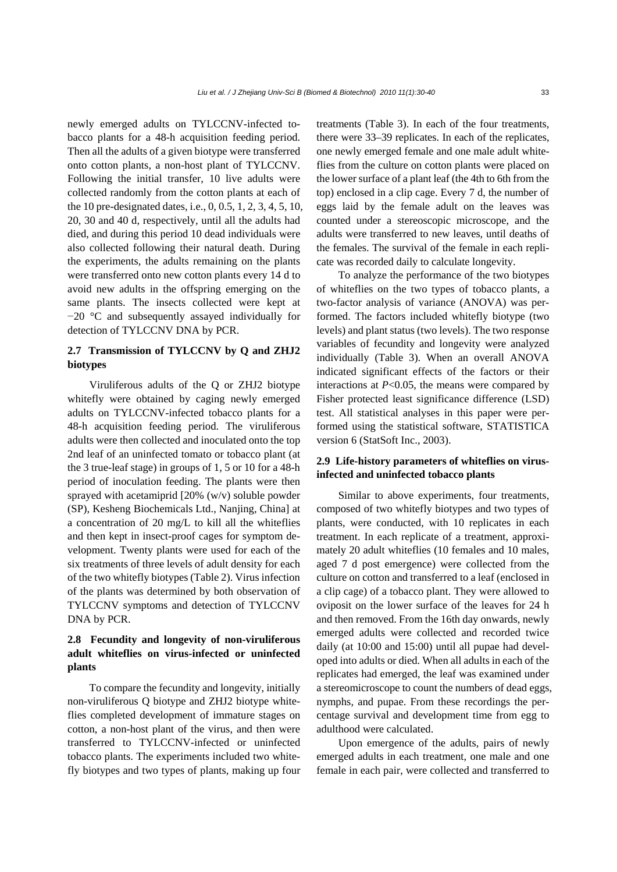newly emerged adults on TYLCCNV-infected tobacco plants for a 48-h acquisition feeding period. Then all the adults of a given biotype were transferred onto cotton plants, a non-host plant of TYLCCNV. Following the initial transfer, 10 live adults were collected randomly from the cotton plants at each of the 10 pre-designated dates, i.e., 0, 0.5, 1, 2, 3, 4, 5, 10, 20, 30 and 40 d, respectively, until all the adults had died, and during this period 10 dead individuals were also collected following their natural death. During the experiments, the adults remaining on the plants were transferred onto new cotton plants every 14 d to avoid new adults in the offspring emerging on the same plants. The insects collected were kept at −20 °C and subsequently assayed individually for detection of TYLCCNV DNA by PCR.

## **2.7 Transmission of TYLCCNV by Q and ZHJ2 biotypes**

Viruliferous adults of the Q or ZHJ2 biotype whitefly were obtained by caging newly emerged adults on TYLCCNV-infected tobacco plants for a 48-h acquisition feeding period. The viruliferous adults were then collected and inoculated onto the top 2nd leaf of an uninfected tomato or tobacco plant (at the 3 true-leaf stage) in groups of 1, 5 or 10 for a 48-h period of inoculation feeding. The plants were then sprayed with acetamiprid [20% (w/v) soluble powder (SP), Kesheng Biochemicals Ltd., Nanjing, China] at a concentration of 20 mg/L to kill all the whiteflies and then kept in insect-proof cages for symptom development. Twenty plants were used for each of the six treatments of three levels of adult density for each of the two whitefly biotypes (Table 2). Virus infection of the plants was determined by both observation of TYLCCNV symptoms and detection of TYLCCNV DNA by PCR.

# **2.8 Fecundity and longevity of non-viruliferous adult whiteflies on virus-infected or uninfected plants**

To compare the fecundity and longevity, initially non-viruliferous Q biotype and ZHJ2 biotype whiteflies completed development of immature stages on cotton, a non-host plant of the virus, and then were transferred to TYLCCNV-infected or uninfected tobacco plants. The experiments included two whitefly biotypes and two types of plants, making up four treatments (Table 3). In each of the four treatments, there were 33–39 replicates. In each of the replicates, one newly emerged female and one male adult whiteflies from the culture on cotton plants were placed on the lower surface of a plant leaf (the 4th to 6th from the top) enclosed in a clip cage. Every 7 d, the number of eggs laid by the female adult on the leaves was counted under a stereoscopic microscope, and the adults were transferred to new leaves, until deaths of the females. The survival of the female in each replicate was recorded daily to calculate longevity.

To analyze the performance of the two biotypes of whiteflies on the two types of tobacco plants, a two-factor analysis of variance (ANOVA) was performed. The factors included whitefly biotype (two levels) and plant status (two levels). The two response variables of fecundity and longevity were analyzed individually (Table 3). When an overall ANOVA indicated significant effects of the factors or their interactions at  $P<0.05$ , the means were compared by Fisher protected least significance difference (LSD) test. All statistical analyses in this paper were performed using the statistical software, STATISTICA version 6 (StatSoft Inc., 2003).

#### **2.9 Life-history parameters of whiteflies on virusinfected and uninfected tobacco plants**

Similar to above experiments, four treatments, composed of two whitefly biotypes and two types of plants, were conducted, with 10 replicates in each treatment. In each replicate of a treatment, approximately 20 adult whiteflies (10 females and 10 males, aged 7 d post emergence) were collected from the culture on cotton and transferred to a leaf (enclosed in a clip cage) of a tobacco plant. They were allowed to oviposit on the lower surface of the leaves for 24 h and then removed. From the 16th day onwards, newly emerged adults were collected and recorded twice daily (at 10:00 and 15:00) until all pupae had developed into adults or died. When all adults in each of the replicates had emerged, the leaf was examined under a stereomicroscope to count the numbers of dead eggs, nymphs, and pupae. From these recordings the percentage survival and development time from egg to adulthood were calculated.

Upon emergence of the adults, pairs of newly emerged adults in each treatment, one male and one female in each pair, were collected and transferred to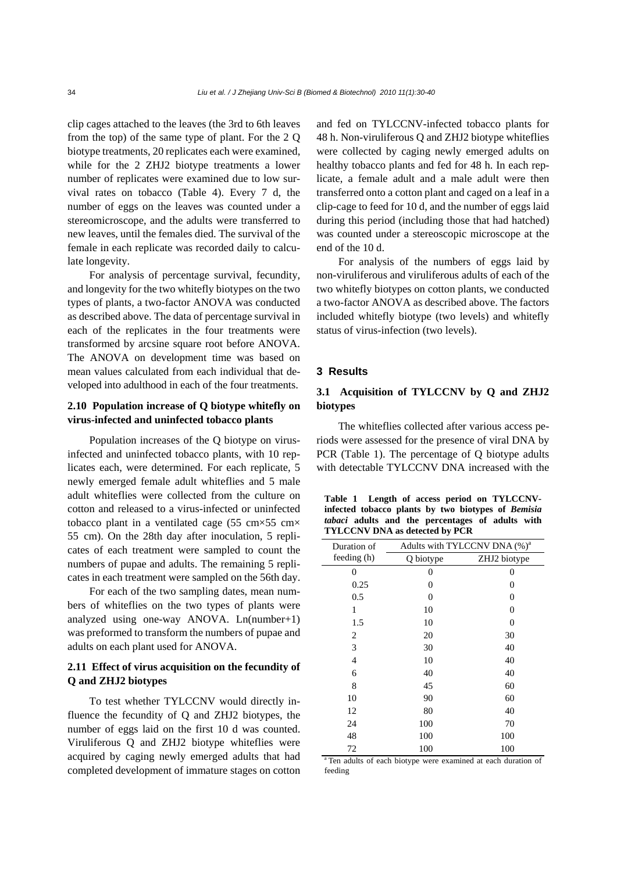clip cages attached to the leaves (the 3rd to 6th leaves from the top) of the same type of plant. For the 2 Q biotype treatments, 20 replicates each were examined, while for the 2 ZHJ2 biotype treatments a lower number of replicates were examined due to low survival rates on tobacco (Table 4). Every 7 d, the number of eggs on the leaves was counted under a stereomicroscope, and the adults were transferred to new leaves, until the females died. The survival of the female in each replicate was recorded daily to calculate longevity.

For analysis of percentage survival, fecundity, and longevity for the two whitefly biotypes on the two types of plants, a two-factor ANOVA was conducted as described above. The data of percentage survival in each of the replicates in the four treatments were transformed by arcsine square root before ANOVA. The ANOVA on development time was based on mean values calculated from each individual that developed into adulthood in each of the four treatments.

## **2.10 Population increase of Q biotype whitefly on virus-infected and uninfected tobacco plants**

Population increases of the Q biotype on virusinfected and uninfected tobacco plants, with 10 replicates each, were determined. For each replicate, 5 newly emerged female adult whiteflies and 5 male adult whiteflies were collected from the culture on cotton and released to a virus-infected or uninfected tobacco plant in a ventilated cage  $(55 \text{ cm} \times 55 \text{ cm} \times$ 55 cm). On the 28th day after inoculation, 5 replicates of each treatment were sampled to count the numbers of pupae and adults. The remaining 5 replicates in each treatment were sampled on the 56th day.

For each of the two sampling dates, mean numbers of whiteflies on the two types of plants were analyzed using one-way ANOVA. Ln(number+1) was preformed to transform the numbers of pupae and adults on each plant used for ANOVA.

## **2.11 Effect of virus acquisition on the fecundity of Q and ZHJ2 biotypes**

To test whether TYLCCNV would directly influence the fecundity of Q and ZHJ2 biotypes, the number of eggs laid on the first 10 d was counted. Viruliferous Q and ZHJ2 biotype whiteflies were acquired by caging newly emerged adults that had completed development of immature stages on cotton and fed on TYLCCNV-infected tobacco plants for 48 h. Non-viruliferous Q and ZHJ2 biotype whiteflies were collected by caging newly emerged adults on healthy tobacco plants and fed for 48 h. In each replicate, a female adult and a male adult were then transferred onto a cotton plant and caged on a leaf in a clip-cage to feed for 10 d, and the number of eggs laid during this period (including those that had hatched) was counted under a stereoscopic microscope at the end of the 10 d.

For analysis of the numbers of eggs laid by non-viruliferous and viruliferous adults of each of the two whitefly biotypes on cotton plants, we conducted a two-factor ANOVA as described above. The factors included whitefly biotype (two levels) and whitefly status of virus-infection (two levels).

#### **3 Results**

## **3.1 Acquisition of TYLCCNV by Q and ZHJ2 biotypes**

The whiteflies collected after various access periods were assessed for the presence of viral DNA by PCR (Table 1). The percentage of Q biotype adults with detectable TYLCCNV DNA increased with the

**Table 1 Length of access period on TYLCCNVinfected tobacco plants by two biotypes of** *Bemisia tabaci* **adults and the percentages of adults with TYLCCNV DNA as detected by PCR** 

| Duration of    | Adults with TYLCCNV DNA (%) <sup>a</sup> |              |  |  |
|----------------|------------------------------------------|--------------|--|--|
| feeding (h)    | Q biotype                                | ZHJ2 biotype |  |  |
| 0              | 0                                        | 0            |  |  |
| 0.25           | 0                                        | 0            |  |  |
| 0.5            | 0                                        | 0            |  |  |
| 1              | 10                                       | 0            |  |  |
| 1.5            | 10                                       | 0            |  |  |
| 2              | 20                                       | 30           |  |  |
| 3              | 30                                       | 40           |  |  |
| $\overline{4}$ | 10                                       | 40           |  |  |
| 6              | 40                                       | 40           |  |  |
| 8              | 45                                       | 60           |  |  |
| 10             | 90                                       | 60           |  |  |
| 12             | 80                                       | 40           |  |  |
| 24             | 100                                      | 70           |  |  |
| 48             | 100                                      | 100          |  |  |
| 72             | 100                                      | 100          |  |  |

<sup>a</sup> Ten adults of each biotype were examined at each duration of feeding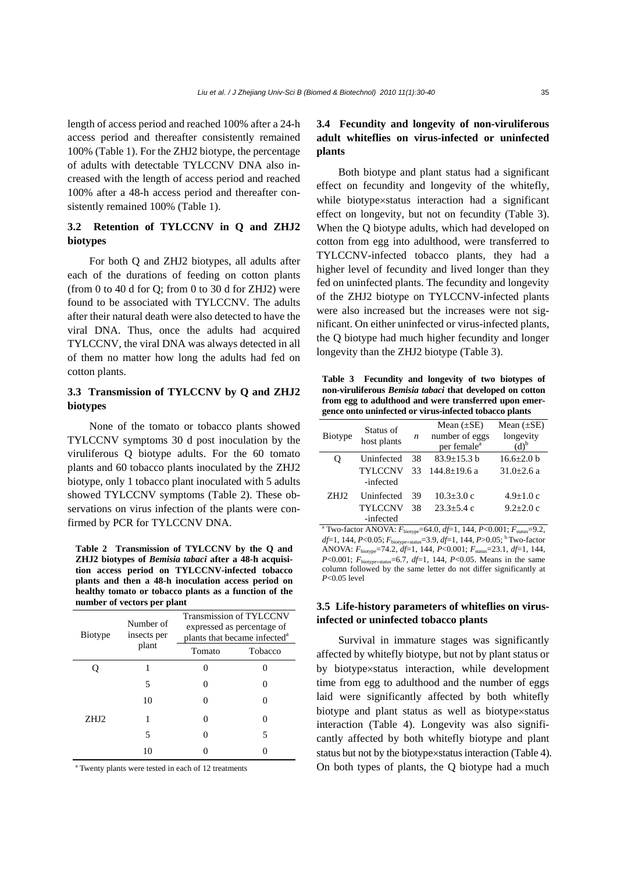length of access period and reached 100% after a 24-h access period and thereafter consistently remained 100% (Table 1). For the ZHJ2 biotype, the percentage of adults with detectable TYLCCNV DNA also increased with the length of access period and reached 100% after a 48-h access period and thereafter consistently remained 100% (Table 1).

## **3.2 Retention of TYLCCNV in Q and ZHJ2 biotypes**

For both Q and ZHJ2 biotypes, all adults after each of the durations of feeding on cotton plants (from  $0$  to  $40$  d for  $Q$ ; from  $0$  to  $30$  d for ZHJ2) were found to be associated with TYLCCNV. The adults after their natural death were also detected to have the viral DNA. Thus, once the adults had acquired TYLCCNV, the viral DNA was always detected in all of them no matter how long the adults had fed on cotton plants.

## **3.3 Transmission of TYLCCNV by Q and ZHJ2 biotypes**

None of the tomato or tobacco plants showed TYLCCNV symptoms 30 d post inoculation by the viruliferous Q biotype adults. For the 60 tomato plants and 60 tobacco plants inoculated by the ZHJ2 biotype, only 1 tobacco plant inoculated with 5 adults showed TYLCCNV symptoms (Table 2). These observations on virus infection of the plants were confirmed by PCR for TYLCCNV DNA.

**Table 2 Transmission of TYLCCNV by the Q and ZHJ2 biotypes of** *Bemisia tabaci* **after a 48-h acquisition access period on TYLCCNV-infected tobacco plants and then a 48-h inoculation access period on healthy tomato or tobacco plants as a function of the number of vectors per plant** 

| <b>Biotype</b> | Number of<br>insects per | Transmission of TYLCCNV<br>expressed as percentage of<br>plants that became infected <sup>a</sup> |         |  |
|----------------|--------------------------|---------------------------------------------------------------------------------------------------|---------|--|
|                | plant                    | Tomato                                                                                            | Tobacco |  |
|                |                          |                                                                                                   |         |  |
|                | 5                        |                                                                                                   |         |  |
|                | 10                       |                                                                                                   |         |  |
| ZHJ2           |                          |                                                                                                   |         |  |
|                | 5                        |                                                                                                   | 5       |  |
|                | 10                       |                                                                                                   |         |  |
|                |                          |                                                                                                   |         |  |

<sup>a</sup> Twenty plants were tested in each of 12 treatments

# **3.4 Fecundity and longevity of non-viruliferous adult whiteflies on virus-infected or uninfected plants**

Both biotype and plant status had a significant effect on fecundity and longevity of the whitefly, while biotype×status interaction had a significant effect on longevity, but not on fecundity (Table 3). When the Q biotype adults, which had developed on cotton from egg into adulthood, were transferred to TYLCCNV-infected tobacco plants, they had a higher level of fecundity and lived longer than they fed on uninfected plants. The fecundity and longevity of the ZHJ2 biotype on TYLCCNV-infected plants were also increased but the increases were not significant. On either uninfected or virus-infected plants, the Q biotype had much higher fecundity and longer longevity than the ZHJ2 biotype (Table 3).

**Table 3 Fecundity and longevity of two biotypes of non-viruliferous** *Bemisia tabaci* **that developed on cotton from egg to adulthood and were transferred upon emergence onto uninfected or virus-infected tobacco plants** 

| <b>Biotype</b> | Status of<br>host plants    | n  | Mean $(\pm SE)$<br>number of eggs<br>per female <sup>a</sup> | Mean $(\pm SE)$<br>longevity<br>$(d)^b$ |
|----------------|-----------------------------|----|--------------------------------------------------------------|-----------------------------------------|
| Ő              | Uninfected                  | 38 | $83.9 + 15.3$ b                                              | $16.6 + 2.0 h$                          |
|                | <b>TYLCCNV</b><br>-infected | 33 | $144.8 + 19.6$ a                                             | $31.0 + 2.6$ a                          |
| ZHJ2           | Uninfected                  | 39 | $10.3 \pm 3.0 \text{ c}$                                     | $4.9+1.0c$                              |
|                | <b>TYLCCNV</b><br>-infected | 38 | $23.3 + 5.4c$                                                | $9.2 + 2.0c$                            |

<sup>a</sup> Two-factor ANOVA:  $F_{\text{biotype}}$ =64.0,  $df$ =1, 144,  $P$ <0.001;  $F_{\text{status}}$ =9.2, *df*=1, 144, *P*<0.05;  $F_{\text{biotype} \times \text{status}}$ =3.9, *df*=1, 144, *P*>0.05; <sup>b</sup> Two-factor ANOVA: *F*biotype=74.2, *df*=1, 144, *P*<0.001; *F*status=23.1, *df*=1, 144, *P*<0.001;  $F_{\text{biotypexstatus}}=6.7$ , *df*=1, 144, *P*<0.05. Means in the same column followed by the same letter do not differ significantly at *P*<0.05 level

## **3.5 Life-history parameters of whiteflies on virusinfected or uninfected tobacco plants**

Survival in immature stages was significantly affected by whitefly biotype, but not by plant status or by biotype×status interaction, while development time from egg to adulthood and the number of eggs laid were significantly affected by both whitefly biotype and plant status as well as biotype×status interaction (Table 4). Longevity was also significantly affected by both whitefly biotype and plant status but not by the biotype×status interaction (Table 4). On both types of plants, the Q biotype had a much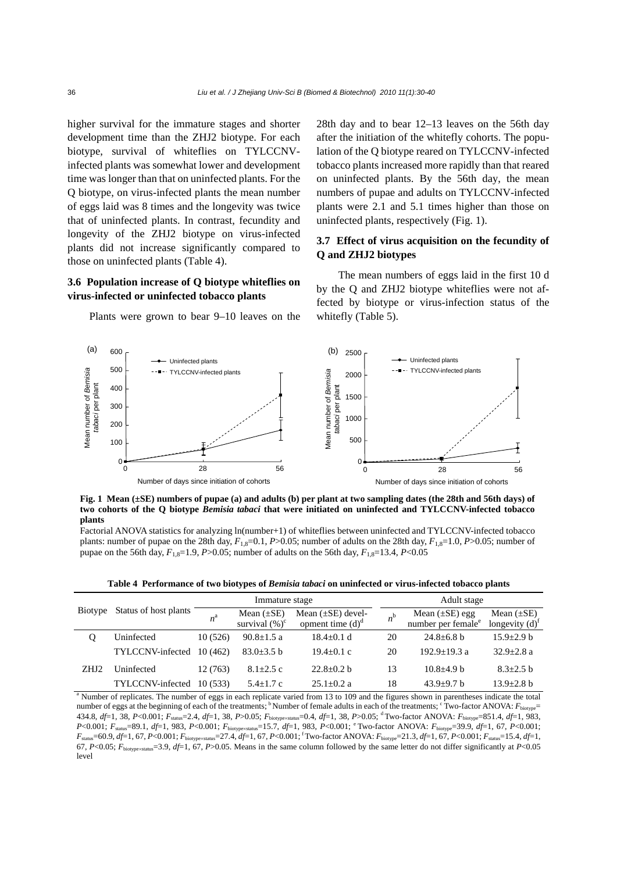higher survival for the immature stages and shorter development time than the ZHJ2 biotype. For each biotype, survival of whiteflies on TYLCCNVinfected plants was somewhat lower and development time was longer than that on uninfected plants. For the Q biotype, on virus-infected plants the mean number of eggs laid was 8 times and the longevity was twice that of uninfected plants. In contrast, fecundity and longevity of the ZHJ2 biotype on virus-infected plants did not increase significantly compared to those on uninfected plants (Table 4).

## **3.6 Population increase of Q biotype whiteflies on virus-infected or uninfected tobacco plants**

Plants were grown to bear 9–10 leaves on the

28th day and to bear 12–13 leaves on the 56th day after the initiation of the whitefly cohorts. The population of the Q biotype reared on TYLCCNV-infected tobacco plants increased more rapidly than that reared on uninfected plants. By the 56th day, the mean numbers of pupae and adults on TYLCCNV-infected plants were 2.1 and 5.1 times higher than those on uninfected plants, respectively (Fig. 1).

## **3.7 Effect of virus acquisition on the fecundity of Q and ZHJ2 biotypes**

The mean numbers of eggs laid in the first 10 d by the Q and ZHJ2 biotype whiteflies were not affected by biotype or virus-infection status of the whitefly (Table 5).



**Fig. 1 Mean (±SE) numbers of pupae (a) and adults (b) per plant at two sampling dates (the 28th and 56th days) of two cohorts of the Q biotype** *Bemisia tabaci* **that were initiated on uninfected and TYLCCNV-infected tobacco plants** 

Factorial ANOVA statistics for analyzing ln(number+1) of whiteflies between uninfected and TYLCCNV-infected tobacco plants: number of pupae on the 28th day,  $F_{1,8}=0.1$ ,  $P>0.05$ ; number of adults on the 28th day,  $F_{1,8}=1.0$ ,  $P>0.05$ ; number of pupae on the 56th day,  $F_{1,8}=13.4$ ,  $P<0.05$ 

|  | Table 4 Performance of two biotypes of Bemisia tabaci on uninfected or virus-infected tobacco plants |  |  |  |  |  |  |  |
|--|------------------------------------------------------------------------------------------------------|--|--|--|--|--|--|--|
|--|------------------------------------------------------------------------------------------------------|--|--|--|--|--|--|--|

|                                                                                                                                                       |                  | Immature stage                       |                                               |                  |                                                       | Adult stage                            |                  |  |
|-------------------------------------------------------------------------------------------------------------------------------------------------------|------------------|--------------------------------------|-----------------------------------------------|------------------|-------------------------------------------------------|----------------------------------------|------------------|--|
| Status of host plants<br>Biotype                                                                                                                      | $n^{\rm a}$      | Mean $(\pm SE)$<br>survival $(\%)^c$ | Mean $(\pm SE)$ devel-<br>opment time $(d)^d$ | $n^{\rm b}$      | Mean $(\pm SE)$ egg<br>number per female <sup>e</sup> | Mean $(\pm SE)$<br>longevity $(d)^{r}$ |                  |  |
| Q                                                                                                                                                     | Uninfected       | 10(526)                              | $90.8 \pm 1.5$ a                              | $18.4 \pm 0.1 d$ | 20                                                    | $24.8 + 6.8 h$                         | $15.9 + 2.9$ b   |  |
|                                                                                                                                                       | TYLCCNV-infected | 10(462)                              | $83.0 \pm 3.5 b$                              | $19.4+0.1 c$     | 20                                                    | $192.9 + 19.3$ a                       | $32.9 + 2.8$ a   |  |
| ZHJ <sub>2</sub>                                                                                                                                      | Uninfected       | 12(763)                              | $8.1 \pm 2.5$ c                               | $22.8+0.2 h$     | 13                                                    | $10.8 + 4.9$ b                         | $8.3 + 2.5$ b    |  |
|                                                                                                                                                       | TYLCCNV-infected | 10(533)                              | $5.4 \pm 1.7$ c                               | $25.1 + 0.2 a$   | 18                                                    | $43.9+9.7 h$                           | $13.9 \pm 2.8 b$ |  |
| <sup>a</sup> Number of replicates. The number of eggs in each replicate varied from 13 to 109 and the figures shown in parentheses indicate the total |                  |                                      |                                               |                  |                                                       |                                        |                  |  |

number of eggs at the beginning of each of the treatments; <sup>b</sup> Number of female adults in each of the treatments; <sup>c</sup> Two-factor ANOVA:  $F_{\text{biotype}} =$ 434.8, *df*=1, 38, *P*<0.001; *F*status=2.4, *df*=1, 38, *P*>0.05; *F*biotype<sup>×</sup>status=0.4, *df*=1, 38, *P*>0.05; <sup>d</sup> Two-factor ANOVA: *F*biotype=851.4, *df*=1, 983, *P*<0.001; *F*status=89.1, *df*=1, 983, *P*<0.001; *F*biotype<sup>×</sup>status=15.7, *df*=1, 983, *P*<0.001; <sup>e</sup> Two-factor ANOVA: *F*biotype=39.9, *df*=1, 67, *P*<0.001; *F*status=60.9, *df*=1, 67, *P*<0.001; *F*biotype<sup>×</sup>status=27.4, *df*=1, 67, *P*<0.001; f Two-factor ANOVA: *F*biotype=21.3, *df*=1, 67, *P*<0.001; *F*status=15.4, *df*=1, 67, *P*<0.05;  $\vec{F}_{\text{biotrossatus}}=3.9$ , *df*=1, 67, *P*>0.05. Means in the same column followed by the same letter do not differ significantly at *P*<0.05 level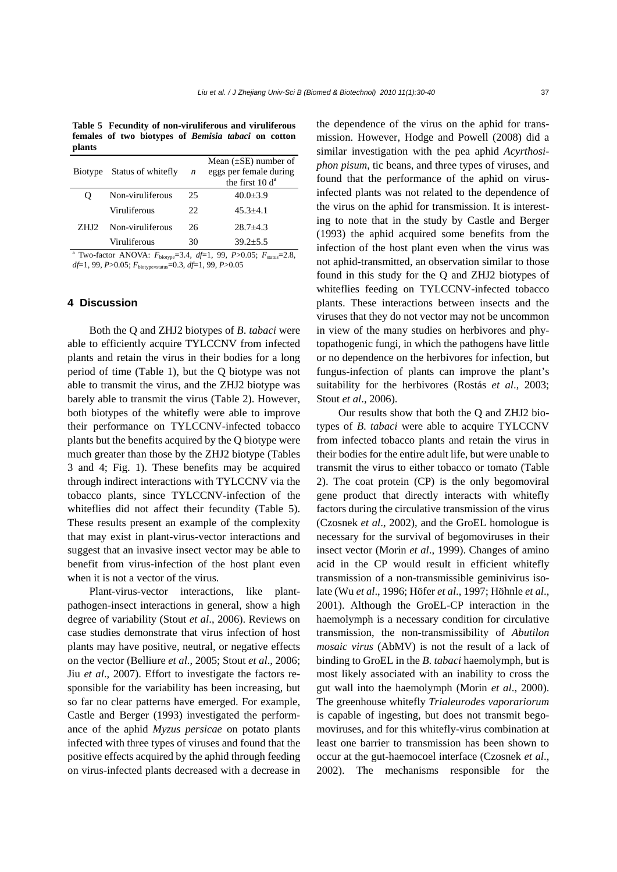**Table 5 Fecundity of non-viruliferous and viruliferous females of two biotypes of** *Bemisia tabaci* **on cotton plants** 

| <b>Biotype</b>                                                                                                 | Status of whitefly | n  | Mean $(\pm SE)$ number of<br>eggs per female during<br>the first $10 da$ |  |
|----------------------------------------------------------------------------------------------------------------|--------------------|----|--------------------------------------------------------------------------|--|
| O                                                                                                              | Non-viruliferous   | 25 | $40.0 \pm 3.9$                                                           |  |
|                                                                                                                | Viruliferous       | 22 | $45.3 + 4.1$                                                             |  |
| ZHI <sub>2</sub>                                                                                               | Non-viruliferous   | 26 | $28.7 + 4.3$                                                             |  |
|                                                                                                                | Viruliferous       | 30 | $39.2 + 5.5$                                                             |  |
| <sup>a</sup> Two-factor ANOVA: $F_{\text{biotype}} = 3.4$ , $df = 1$ , 99, P>0.05; $F_{\text{status}} = 2.8$ , |                    |    |                                                                          |  |

*df*=1, 99, *P*>0.05; *F*biotype×status=0.3, *df*=1, 99, *P*>0.05

#### **4 Discussion**

Both the Q and ZHJ2 biotypes of *B*. *tabaci* were able to efficiently acquire TYLCCNV from infected plants and retain the virus in their bodies for a long period of time (Table 1), but the Q biotype was not able to transmit the virus, and the ZHJ2 biotype was barely able to transmit the virus (Table 2). However, both biotypes of the whitefly were able to improve their performance on TYLCCNV-infected tobacco plants but the benefits acquired by the Q biotype were much greater than those by the ZHJ2 biotype (Tables 3 and 4; Fig. 1). These benefits may be acquired through indirect interactions with TYLCCNV via the tobacco plants, since TYLCCNV-infection of the whiteflies did not affect their fecundity (Table 5). These results present an example of the complexity that may exist in plant-virus-vector interactions and suggest that an invasive insect vector may be able to benefit from virus-infection of the host plant even when it is not a vector of the virus.

Plant-virus-vector interactions, like plantpathogen-insect interactions in general, show a high degree of variability (Stout *et al*., 2006). Reviews on case studies demonstrate that virus infection of host plants may have positive, neutral, or negative effects on the vector (Belliure *et al*., 2005; Stout *et al*., 2006; Jiu *et al*., 2007). Effort to investigate the factors responsible for the variability has been increasing, but so far no clear patterns have emerged. For example, Castle and Berger (1993) investigated the performance of the aphid *Myzus persicae* on potato plants infected with three types of viruses and found that the positive effects acquired by the aphid through feeding on virus-infected plants decreased with a decrease in

the dependence of the virus on the aphid for transmission. However, Hodge and Powell (2008) did a similar investigation with the pea aphid *Acyrthosiphon pisum*, tic beans, and three types of viruses, and found that the performance of the aphid on virusinfected plants was not related to the dependence of the virus on the aphid for transmission. It is interesting to note that in the study by Castle and Berger (1993) the aphid acquired some benefits from the infection of the host plant even when the virus was not aphid-transmitted, an observation similar to those found in this study for the Q and ZHJ2 biotypes of whiteflies feeding on TYLCCNV-infected tobacco plants. These interactions between insects and the viruses that they do not vector may not be uncommon in view of the many studies on herbivores and phytopathogenic fungi, in which the pathogens have little or no dependence on the herbivores for infection, but fungus-infection of plants can improve the plant's suitability for the herbivores (Rostás *et al*., 2003; Stout *et al*., 2006).

Our results show that both the Q and ZHJ2 biotypes of *B*. *tabaci* were able to acquire TYLCCNV from infected tobacco plants and retain the virus in their bodies for the entire adult life, but were unable to transmit the virus to either tobacco or tomato (Table 2). The coat protein (CP) is the only begomoviral gene product that directly interacts with whitefly factors during the circulative transmission of the virus (Czosnek *et al*., 2002), and the GroEL homologue is necessary for the survival of begomoviruses in their insect vector (Morin *et al*., 1999). Changes of amino acid in the CP would result in efficient whitefly transmission of a non-transmissible geminivirus isolate (Wu *et al*., 1996; Höfer *et al*., 1997; Höhnle *et al*., 2001). Although the GroEL-CP interaction in the haemolymph is a necessary condition for circulative transmission, the non-transmissibility of *Abutilon mosaic virus* (AbMV) is not the result of a lack of binding to GroEL in the *B*. *tabaci* haemolymph, but is most likely associated with an inability to cross the gut wall into the haemolymph (Morin *et al*., 2000). The greenhouse whitefly *Trialeurodes vaporariorum* is capable of ingesting, but does not transmit begomoviruses, and for this whitefly-virus combination at least one barrier to transmission has been shown to occur at the gut-haemocoel interface (Czosnek *et al*., 2002). The mechanisms responsible for the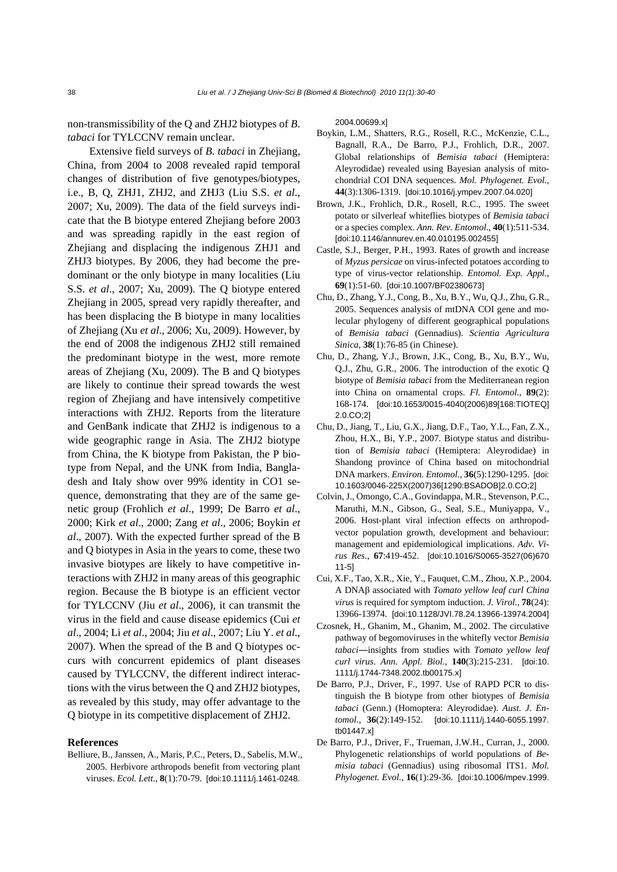non-transmissibility of the Q and ZHJ2 biotypes of *B*. *tabaci* for TYLCCNV remain unclear.

Extensive field surveys of *B. tabaci* in Zhejiang, China, from 2004 to 2008 revealed rapid temporal changes of distribution of five genotypes/biotypes, i.e., B, Q, ZHJ1, ZHJ2, and ZHJ3 (Liu S.S. *et al*., 2007; Xu, 2009). The data of the field surveys indicate that the B biotype entered Zhejiang before 2003 and was spreading rapidly in the east region of Zhejiang and displacing the indigenous ZHJ1 and ZHJ3 biotypes. By 2006, they had become the predominant or the only biotype in many localities (Liu S.S. *et al*., 2007; Xu, 2009). The Q biotype entered Zhejiang in 2005, spread very rapidly thereafter, and has been displacing the B biotype in many localities of Zhejiang (Xu *et al*., 2006; Xu, 2009). However, by the end of 2008 the indigenous ZHJ2 still remained the predominant biotype in the west, more remote areas of Zhejiang (Xu, 2009). The B and Q biotypes are likely to continue their spread towards the west region of Zhejiang and have intensively competitive interactions with ZHJ2. Reports from the literature and GenBank indicate that ZHJ2 is indigenous to a wide geographic range in Asia. The ZHJ2 biotype from China, the K biotype from Pakistan, the P biotype from Nepal, and the UNK from India, Bangladesh and Italy show over 99% identity in CO1 sequence, demonstrating that they are of the same genetic group (Frohlich *et al*., 1999; De Barro *et al*., 2000; Kirk *et al*., 2000; Zang *et al*., 2006; Boykin *et al*., 2007). With the expected further spread of the B and Q biotypes in Asia in the years to come, these two invasive biotypes are likely to have competitive interactions with ZHJ2 in many areas of this geographic region. Because the B biotype is an efficient vector for TYLCCNV (Jiu *et al*., 2006), it can transmit the virus in the field and cause disease epidemics (Cui *et al*., 2004; Li *et al*., 2004; Jiu *et al*., 2007; Liu Y. *et al*., 2007). When the spread of the B and Q biotypes occurs with concurrent epidemics of plant diseases caused by TYLCCNV, the different indirect interactions with the virus between the Q and ZHJ2 biotypes, as revealed by this study, may offer advantage to the Q biotype in its competitive displacement of ZHJ2.

#### **References**

Belliure, B., Janssen, A., Maris, P.C., Peters, D., Sabelis, M.W., 2005. Herbivore arthropods benefit from vectoring plant viruses. *Ecol. Lett.*, **8**(1):70-79. [doi:10.1111/j.1461-0248.

2004.00699.x]

- Boykin, L.M., Shatters, R.G., Rosell, R.C., McKenzie, C.L., Bagnall, R.A., De Barro, P.J., Frohlich, D.R., 2007. Global relationships of *Bemisia tabaci* (Hemiptera: Aleyrodidae) revealed using Bayesian analysis of mitochondrial COI DNA sequences. *Mol. Phylogenet. Evol.*, **44**(3):1306-1319. [doi:10.1016/j.ympev.2007.04.020]
- Brown, J.K., Frohlich, D.R., Rosell, R.C., 1995. The sweet potato or silverleaf whiteflies biotypes of *Bemisia tabaci* or a species complex. *Ann. Rev. Entomol.*, **40**(1):511-534. [doi:10.1146/annurev.en.40.010195.002455]
- Castle, S.J., Berger, P.H., 1993. Rates of growth and increase of *Myzus persicae* on virus-infected potatoes according to type of virus-vector relationship. *Entomol. Exp. Appl.*, **69**(1):51-60. [doi:10.1007/BF02380673]
- Chu, D., Zhang, Y.J., Cong, B., Xu, B.Y., Wu, Q.J., Zhu, G.R., 2005. Sequences analysis of mtDNA COI gene and molecular phylogeny of different geographical populations of *Bemisia tabaci* (Gennadius). *Scientia Agricultura Sinica*, **38**(1):76-85 (in Chinese).
- Chu, D., Zhang, Y.J., Brown, J.K., Cong, B., Xu, B.Y., Wu, Q.J., Zhu, G.R., 2006. The introduction of the exotic Q biotype of *Bemisia tabaci* from the Mediterranean region into China on ornamental crops. *Fl. Entomol.*, **89**(2): 168-174. [doi:10.1653/0015-4040(2006)89[168:TIOTEQ] 2.0.CO;2]
- Chu, D., Jiang, T., Liu, G.X., Jiang, D.F., Tao, Y.L., Fan, Z.X., Zhou, H.X., Bi, Y.P., 2007. Biotype status and distribution of *Bemisia tabaci* (Hemiptera: Aleyrodidae) in Shandong province of China based on mitochondrial DNA markers. *Environ. Entomol.*, **36**(5):1290-1295. [doi: 10.1603/0046-225X(2007)36[1290:BSADOB]2.0.CO;2]
- Colvin, J., Omongo, C.A., Govindappa, M.R., Stevenson, P.C., Maruthi, M.N., Gibson, G., Seal, S.E., Muniyappa, V., 2006. Host-plant viral infection effects on arthropodvector population growth, development and behaviour: management and epidemiological implications. *Adv. Virus Res.*, **67**:419-452. [doi:10.1016/S0065-3527(06)670 11-5]
- Cui, X.F., Tao, X.R., Xie, Y., Fauquet, C.M., Zhou, X.P., 2004. A DNAβ associated with *Tomato yellow leaf curl China virus* is required for symptom induction. *J. Virol.*, **78**(24): 13966-13974. [doi:10.1128/JVI.78.24.13966-13974.2004]
- Czosnek, H., Ghanim, M., Ghanim, M., 2002. The circulative pathway of begomoviruses in the whitefly vector *Bemisia tabaci*―insights from studies with *Tomato yellow leaf curl virus*. *Ann. Appl. Biol.*, **140**(3):215-231. [doi:10. 1111/j.1744-7348.2002.tb00175.x]
- De Barro, P.J., Driver, F., 1997. Use of RAPD PCR to distinguish the B biotype from other biotypes of *Bemisia tabaci* (Genn.) (Homoptera: Aleyrodidae). *Aust. J. Entomol.*, **36**(2):149-152. [doi:10.1111/j.1440-6055.1997. tb01447.x]
- De Barro, P.J., Driver, F., Trueman, J.W.H., Curran, J., 2000. Phylogenetic relationships of world populations of *Bemisia tabaci* (Gennadius) using ribosomal ITS1. *Mol. Phylogenet. Evol.*, **16**(1):29-36. [doi:10.1006/mpev.1999.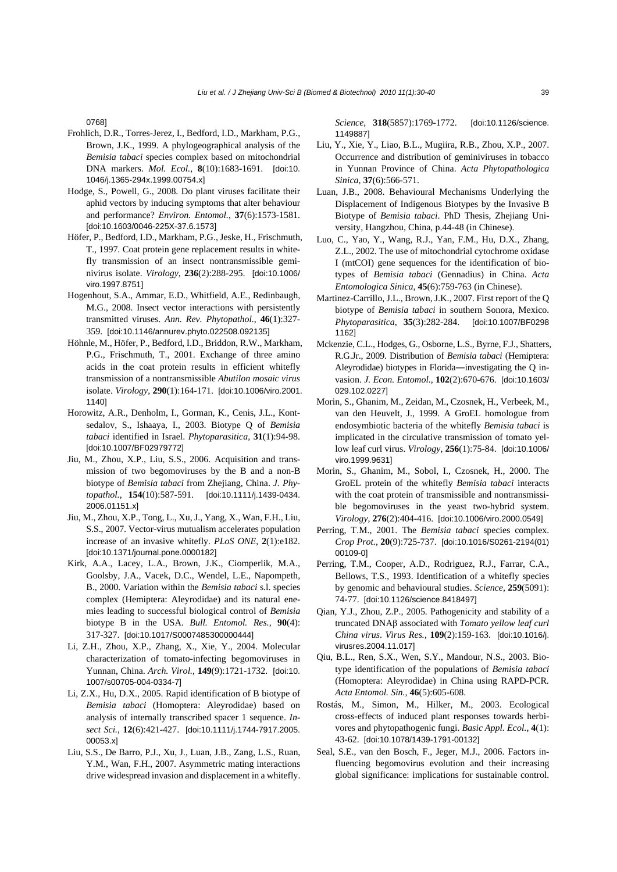0768]

- Frohlich, D.R., Torres-Jerez, I., Bedford, I.D., Markham, P.G., Brown, J.K., 1999. A phylogeographical analysis of the *Bemisia tabaci* species complex based on mitochondrial DNA markers. *Mol. Ecol.*, **8**(10):1683-1691. [doi:10. 1046/j.1365-294x.1999.00754.x]
- Hodge, S., Powell, G., 2008. Do plant viruses facilitate their aphid vectors by inducing symptoms that alter behaviour and performance? *Environ. Entomol.*, **37**(6):1573-1581. [doi:10.1603/0046-225X-37.6.1573]
- Höfer, P., Bedford, I.D., Markham, P.G., Jeske, H., Frischmuth, T., 1997. Coat protein gene replacement results in whitefly transmission of an insect nontransmissible geminivirus isolate. *Virology*, **236**(2):288-295. [doi:10.1006/ viro.1997.8751]
- Hogenhout, S.A., Ammar, E.D., Whitfield, A.E., Redinbaugh, M.G., 2008. Insect vector interactions with persistently transmitted viruses. *Ann. Rev. Phytopathol.*, **46**(1):327- 359. [doi:10.1146/annurev.phyto.022508.092135]
- Höhnle, M., Höfer, P., Bedford, I.D., Briddon, R.W., Markham, P.G., Frischmuth, T., 2001. Exchange of three amino acids in the coat protein results in efficient whitefly transmission of a nontransmissible *Abutilon mosaic virus*  isolate. *Virology*, **290**(1):164-171. [doi:10.1006/viro.2001. 1140]
- Horowitz, A.R., Denholm, I., Gorman, K., Cenis, J.L., Kontsedalov, S., Ishaaya, I., 2003. Biotype Q of *Bemisia tabaci* identified in Israel. *Phytoparasitica*, **31**(1):94-98. [doi:10.1007/BF02979772]
- Jiu, M., Zhou, X.P., Liu, S.S., 2006. Acquisition and transmission of two begomoviruses by the B and a non-B biotype of *Bemisia tabaci* from Zhejiang, China. *J. Phytopathol.*, **154**(10):587-591. [doi:10.1111/j.1439-0434. 2006.01151.x]
- Jiu, M., Zhou, X.P., Tong, L., Xu, J., Yang, X., Wan, F.H., Liu, S.S., 2007. Vector-virus mutualism accelerates population increase of an invasive whitefly. *PLoS ONE*, **2**(1):e182. [doi:10.1371/journal.pone.0000182]
- Kirk, A.A., Lacey, L.A., Brown, J.K., Ciomperlik, M.A., Goolsby, J.A., Vacek, D.C., Wendel, L.E., Napompeth, B., 2000. Variation within the *Bemisia tabaci* s.l. species complex (Hemiptera: Aleyrodidae) and its natural enemies leading to successful biological control of *Bemisia* biotype B in the USA. *Bull. Entomol. Res.*, **90**(4): 317-327. [doi:10.1017/S0007485300000444]
- Li, Z.H., Zhou, X.P., Zhang, X., Xie, Y., 2004. Molecular characterization of tomato-infecting begomoviruses in Yunnan, China. *Arch. Virol.*, **149**(9):1721-1732. [doi:10. 1007/s00705-004-0334-7]
- Li, Z.X., Hu, D.X., 2005. Rapid identification of B biotype of *Bemisia tabaci* (Homoptera: Aleyrodidae) based on analysis of internally transcribed spacer 1 sequence. *Insect Sci.*, **12**(6):421-427. [doi:10.1111/j.1744-7917.2005. 00053.x]
- Liu, S.S., De Barro, P.J., Xu, J., Luan, J.B., Zang, L.S., Ruan, Y.M., Wan, F.H., 2007. Asymmetric mating interactions drive widespread invasion and displacement in a whitefly.

*Science*, **318**(5857):1769-1772. [doi:10.1126/science. 1149887]

- Liu, Y., Xie, Y., Liao, B.L., Mugiira, R.B., Zhou, X.P., 2007. Occurrence and distribution of geminiviruses in tobacco in Yunnan Province of China. *Acta Phytopathologica Sinica*, **37**(6):566-571.
- Luan, J.B., 2008. Behavioural Mechanisms Underlying the Displacement of Indigenous Biotypes by the Invasive B Biotype of *Bemisia tabaci*. PhD Thesis, Zhejiang University, Hangzhou, China, p.44-48 (in Chinese).
- Luo, C., Yao, Y., Wang, R.J., Yan, F.M., Hu, D.X., Zhang, Z.L., 2002. The use of mitochondrial cytochrome oxidase I (mtCOI) gene sequences for the identification of biotypes of *Bemisia tabaci* (Gennadius) in China. *Acta Entomologica Sinica*, **45**(6):759-763 (in Chinese).
- Martinez-Carrillo, J.L., Brown, J.K., 2007. First report of the Q biotype of *Bemisia tabaci* in southern Sonora, Mexico. *Phytoparasitica*, **35**(3):282-284. [doi:10.1007/BF0298 1162]
- Mckenzie, C.L., Hodges, G., Osborne, L.S., Byrne, F.J., Shatters, R.G.Jr., 2009. Distribution of *Bemisia tabaci* (Hemiptera: Aleyrodidae) biotypes in Florida―investigating the Q invasion. *J. Econ. Entomol.*, **102**(2):670-676. [doi:10.1603/ 029.102.0227]
- Morin, S., Ghanim, M., Zeidan, M., Czosnek, H., Verbeek, M., van den Heuvelt, J., 1999. A GroEL homologue from endosymbiotic bacteria of the whitefly *Bemisia tabaci* is implicated in the circulative transmission of tomato yellow leaf curl virus. *Virology*, **256**(1):75-84. [doi:10.1006/ viro.1999.9631]
- Morin, S., Ghanim, M., Sobol, I., Czosnek, H., 2000. The GroEL protein of the whitefly *Bemisia tabaci* interacts with the coat protein of transmissible and nontransmissible begomoviruses in the yeast two-hybrid system. *Virology*, **276**(2):404-416. [doi:10.1006/viro.2000.0549]
- Perring, T.M., 2001. The *Bemisia tabaci* species complex. *Crop Prot.*, **20**(9):725-737. [doi:10.1016/S0261-2194(01) 00109-0]
- Perring, T.M., Cooper, A.D., Rodriguez, R.J., Farrar, C.A., Bellows, T.S., 1993. Identification of a whitefly species by genomic and behavioural studies. *Science*, **259**(5091): 74-77. [doi:10.1126/science.8418497]
- Qian, Y.J., Zhou, Z.P., 2005. Pathogenicity and stability of a truncated DNAβ associated with *Tomato yellow leaf curl China virus*. *Virus Res.*, **109**(2):159-163. [doi:10.1016/j. virusres.2004.11.017]
- Qiu, B.L., Ren, S.X., Wen, S.Y., Mandour, N.S., 2003. Biotype identification of the populations of *Bemisia tabaci* (Homoptera: Aleyrodidae) in China using RAPD-PCR*. Acta Entomol. Sin.*, **46**(5):605-608.
- Rostás, M., Simon, M., Hilker, M., 2003. Ecological cross-effects of induced plant responses towards herbivores and phytopathogenic fungi. *Basic Appl. Ecol.*, **4**(1): 43-62. [doi:10.1078/1439-1791-00132]
- Seal, S.E., van den Bosch, F., Jeger, M.J., 2006. Factors influencing begomovirus evolution and their increasing global significance: implications for sustainable control.